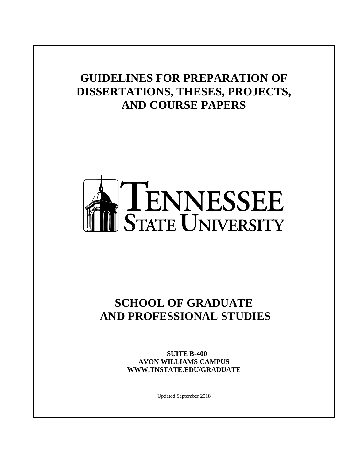# **GUIDELINES FOR PREPARATION OF DISSERTATIONS, THESES, PROJECTS, AND COURSE PAPERS**



# **SCHOOL OF GRADUATE AND PROFESSIONAL STUDIES**

 **SUITE B-400 AVON WILLIAMS CAMPUS WWW.TNSTATE.EDU/GRADUATE**

Updated September 2018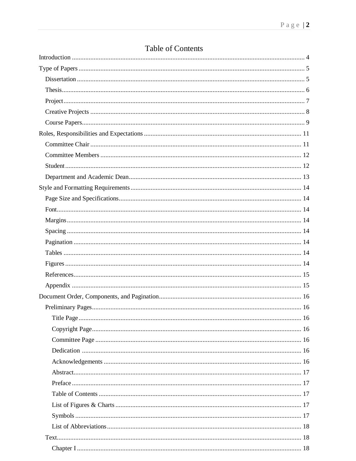# Table of Contents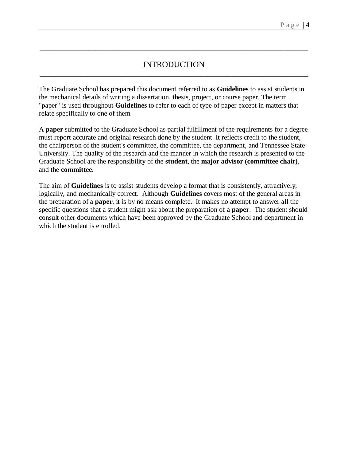# INTRODUCTION **\_\_\_\_\_\_\_\_\_\_\_\_\_\_\_\_\_\_\_\_\_\_\_\_\_\_\_\_\_\_\_\_\_\_\_\_\_\_\_\_\_\_\_\_\_\_\_\_\_\_\_\_\_\_\_\_\_\_\_\_\_\_\_\_\_\_\_\_\_\_\_\_\_\_\_\_\_**

**\_\_\_\_\_\_\_\_\_\_\_\_\_\_\_\_\_\_\_\_\_\_\_\_\_\_\_\_\_\_\_\_\_\_\_\_\_\_\_\_\_\_\_\_\_\_\_\_\_\_\_\_\_\_\_\_\_\_\_\_\_\_\_\_\_\_\_\_\_\_\_\_\_\_\_\_\_**

The Graduate School has prepared this document referred to as **Guidelines** to assist students in the mechanical details of writing a dissertation, thesis, project, or course paper. The term "paper" is used throughout **Guidelines** to refer to each of type of paper except in matters that relate specifically to one of them.

A **paper** submitted to the Graduate School as partial fulfillment of the requirements for a degree must report accurate and original research done by the student. It reflects credit to the student, the chairperson of the student's committee, the committee, the department, and Tennessee State University. The quality of the research and the manner in which the research is presented to the Graduate School are the responsibility of the **student**, the **major advisor (committee chair)**, and the **committee**.

The aim of **Guidelines** is to assist students develop a format that is consistently, attractively, logically, and mechanically correct. Although **Guidelines** covers most of the general areas in the preparation of a **paper**, it is by no means complete. It makes no attempt to answer all the specific questions that a student might ask about the preparation of a **paper**. The student should consult other documents which have been approved by the Graduate School and department in which the student is enrolled.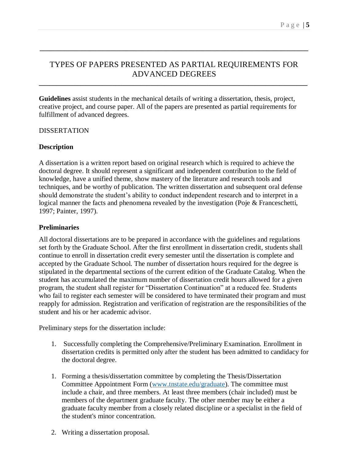# TYPES OF PAPERS PRESENTED AS PARTIAL REQUIREMENTS FOR ADVANCED DEGREES

**\_\_\_\_\_\_\_\_\_\_\_\_\_\_\_\_\_\_\_\_\_\_\_\_\_\_\_\_\_\_\_\_\_\_\_\_\_\_\_\_\_\_\_\_\_\_\_\_\_\_\_\_\_\_\_\_\_\_\_\_\_\_\_\_\_\_\_\_\_\_\_\_\_\_\_\_\_**

**\_\_\_\_\_\_\_\_\_\_\_\_\_\_\_\_\_\_\_\_\_\_\_\_\_\_\_\_\_\_\_\_\_\_\_\_\_\_\_\_\_\_\_\_\_\_\_\_\_\_\_\_\_\_\_\_\_\_\_\_\_\_\_\_\_\_\_\_\_\_\_\_\_\_\_\_\_**

**Guidelines** assist students in the mechanical details of writing a dissertation, thesis, project, creative project, and course paper. All of the papers are presented as partial requirements for fulfillment of advanced degrees.

# DISSERTATION

# **Description**

A dissertation is a written report based on original research which is required to achieve the doctoral degree. It should represent a significant and independent contribution to the field of knowledge, have a unified theme, show mastery of the literature and research tools and techniques, and be worthy of publication. The written dissertation and subsequent oral defense should demonstrate the student's ability to conduct independent research and to interpret in a logical manner the facts and phenomena revealed by the investigation (Poje & Franceschetti, 1997; Painter, 1997).

# **Preliminaries**

All doctoral dissertations are to be prepared in accordance with the guidelines and regulations set forth by the Graduate School. After the first enrollment in dissertation credit, students shall continue to enroll in dissertation credit every semester until the dissertation is complete and accepted by the Graduate School. The number of dissertation hours required for the degree is stipulated in the departmental sections of the current edition of the Graduate Catalog. When the student has accumulated the maximum number of dissertation credit hours allowed for a given program, the student shall register for "Dissertation Continuation" at a reduced fee. Students who fail to register each semester will be considered to have terminated their program and must reapply for admission. Registration and verification of registration are the responsibilities of the student and his or her academic advisor.

Preliminary steps for the dissertation include:

- 1. Successfully completing the Comprehensive/Preliminary Examination. Enrollment in dissertation credits is permitted only after the student has been admitted to candidacy for the doctoral degree.
- 1. Forming a thesis/dissertation committee by completing the Thesis/Dissertation Committee Appointment Form [\(www.tnstate.edu/graduate\)](https://www.tnstate.edu/graduate). The committee must include a chair, and three members. At least three members (chair included) must be members of the department graduate faculty. The other member may be either a graduate faculty member from a closely related discipline or a specialist in the field of the student's minor concentration.
- 2. Writing a dissertation proposal.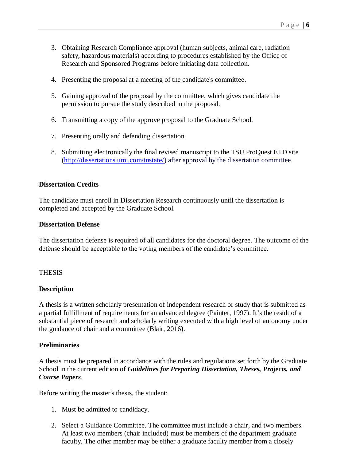- 3. Obtaining Research Compliance approval (human subjects, animal care, radiation safety, hazardous materials) according to procedures established by the Office of Research and Sponsored Programs before initiating data collection.
- 4. Presenting the proposal at a meeting of the candidate's committee.
- 5. Gaining approval of the proposal by the committee, which gives candidate the permission to pursue the study described in the proposal.
- 6. Transmitting a copy of the approve proposal to the Graduate School.
- 7. Presenting orally and defending dissertation.
- 8. Submitting electronically the final revised manuscript to the TSU ProQuest ETD site [\(http://dissertations.umi.com/tnstate/\)](http://dissertations.umi.com/tnstate/) after approval by the dissertation committee.

#### **Dissertation Credits**

The candidate must enroll in Dissertation Research continuously until the dissertation is completed and accepted by the Graduate School.

#### **Dissertation Defense**

The dissertation defense is required of all candidates for the doctoral degree. The outcome of the defense should be acceptable to the voting members of the candidate's committee.

#### THESIS

#### **Description**

A thesis is a written scholarly presentation of independent research or study that is submitted as a partial fulfillment of requirements for an advanced degree (Painter, 1997). It's the result of a substantial piece of research and scholarly writing executed with a high level of autonomy under the guidance of chair and a committee (Blair, 2016).

#### **Preliminaries**

A thesis must be prepared in accordance with the rules and regulations set forth by the Graduate School in the current edition of *Guidelines for Preparing Dissertation, Theses, Projects, and Course Papers*.

Before writing the master's thesis, the student:

- 1. Must be admitted to candidacy.
- 2. Select a Guidance Committee. The committee must include a chair, and two members. At least two members (chair included) must be members of the department graduate faculty. The other member may be either a graduate faculty member from a closely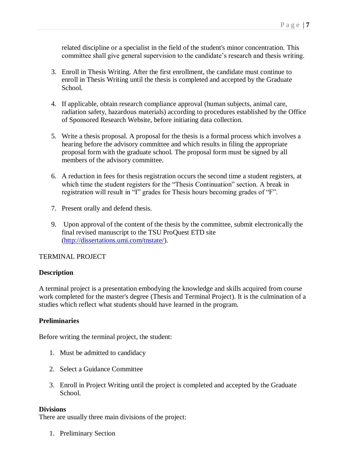related discipline or a specialist in the field of the student's minor concentration. This committee shall give general supervision to the candidate's research and thesis writing.

- 3. Enroll in Thesis Writing. After the first enrollment, the candidate must continue to enroll in Thesis Writing until the thesis is completed and accepted by the Graduate School.
- 4. If applicable, obtain research compliance approval (human subjects, animal care, radiation safety, hazardous materials) according to procedures established by the Office of Sponsored Research Website, before initiating data collection.
- 5. Write a thesis proposal. A proposal for the thesis is a formal process which involves a hearing before the advisory committee and which results in filing the appropriate proposal form with the graduate school. The proposal form must be signed by all members of the advisory committee.
- 6. A reduction in fees for thesis registration occurs the second time a student registers, at which time the student registers for the "Thesis Continuation" section. A break in registration will result in "I" grades for Thesis hours becoming grades of "F".
- 7. Present orally and defend thesis.
- 9. Upon approval of the content of the thesis by the committee, submit electronically the final revised manuscript to the TSU ProQuest ETD site [\(http://dissertations.umi.com/tnstate/\)](http://dissertations.umi.com/tnstate/).

#### TERMINAL PROJECT

#### **Description**

A terminal project is a presentation embodying the knowledge and skills acquired from course work completed for the master's degree (Thesis and Terminal Project). It is the culmination of a studies which reflect what students should have learned in the program.

#### **Preliminaries**

Before writing the terminal project, the student:

- 1. Must be admitted to candidacy
- 2. Select a Guidance Committee
- 3. Enroll in Project Writing until the project is completed and accepted by the Graduate School.

#### **Divisions**

There are usually three main divisions of the project:

1. Preliminary Section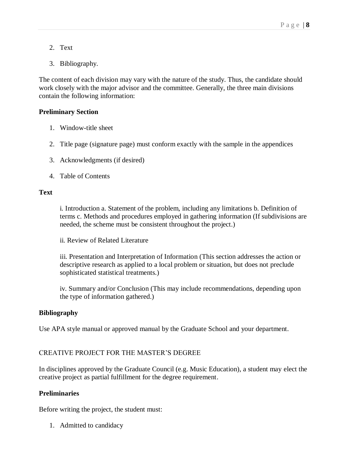- 2. Text
- 3. Bibliography.

The content of each division may vary with the nature of the study. Thus, the candidate should work closely with the major advisor and the committee. Generally, the three main divisions contain the following information:

# **Preliminary Section**

- 1. Window-title sheet
- 2. Title page (signature page) must conform exactly with the sample in the appendices
- 3. Acknowledgments (if desired)
- 4. Table of Contents

# **Text**

i. Introduction a. Statement of the problem, including any limitations b. Definition of terms c. Methods and procedures employed in gathering information (If subdivisions are needed, the scheme must be consistent throughout the project.)

ii. Review of Related Literature

iii. Presentation and Interpretation of Information (This section addresses the action or descriptive research as applied to a local problem or situation, but does not preclude sophisticated statistical treatments.)

iv. Summary and/or Conclusion (This may include recommendations, depending upon the type of information gathered.)

#### **Bibliography**

Use APA style manual or approved manual by the Graduate School and your department.

# CREATIVE PROJECT FOR THE MASTER'S DEGREE

In disciplines approved by the Graduate Council (e.g. Music Education), a student may elect the creative project as partial fulfillment for the degree requirement.

#### **Preliminaries**

Before writing the project, the student must:

1. Admitted to candidacy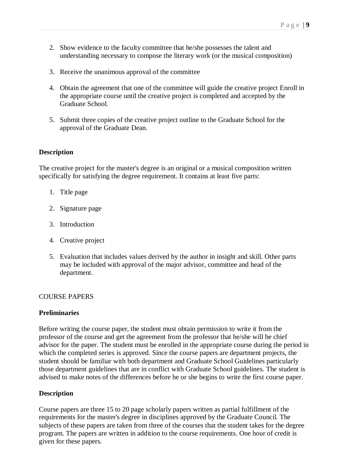- 2. Show evidence to the faculty committee that he/she possesses the talent and understanding necessary to compose the literary work (or the musical composition)
- 3. Receive the unanimous approval of the committee
- 4. Obtain the agreement that one of the committee will guide the creative project Enroll in the appropriate course until the creative project is completed and accepted by the Graduate School.
- 5. Submit three copies of the creative project outline to the Graduate School for the approval of the Graduate Dean.

#### **Description**

The creative project for the master's degree is an original or a musical composition written specifically for satisfying the degree requirement. It contains at least five parts:

- 1. Title page
- 2. Signature page
- 3. Introduction
- 4. Creative project
- 5. Evaluation that includes values derived by the author in insight and skill. Other parts may be included with approval of the major advisor, committee and head of the department.

#### COURSE PAPERS

#### **Preliminaries**

Before writing the course paper, the student must obtain permission to write it from the professor of the course and get the agreement from the professor that he/she will be chief advisor for the paper. The student must be enrolled in the appropriate course during the period in which the completed series is approved. Since the course papers are department projects, the student should be familiar with both department and Graduate School Guidelines particularly those department guidelines that are in conflict with Graduate School guidelines. The student is advised to make notes of the differences before he or she begins to write the first course paper.

#### **Description**

Course papers are three 15 to 20 page scholarly papers written as partial fulfillment of the requirements for the master's degree in disciplines approved by the Graduate Council. The subjects of these papers are taken from three of the courses that the student takes for the degree program. The papers are written in addition to the course requirements. One hour of credit is given for these papers.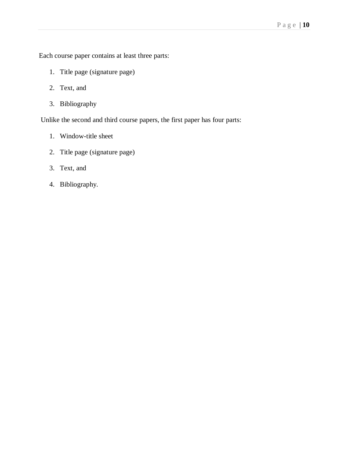Each course paper contains at least three parts:

- 1. Title page (signature page)
- 2. Text, and
- 3. Bibliography

Unlike the second and third course papers, the first paper has four parts:

- 1. Window-title sheet
- 2. Title page (signature page)
- 3. Text, and
- 4. Bibliography.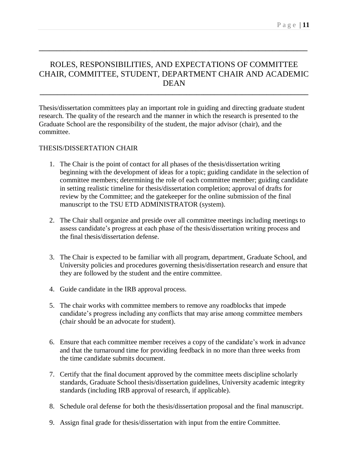# ROLES, RESPONSIBILITIES, AND EXPECTATIONS OF COMMITTEE CHAIR, COMMITTEE, STUDENT, DEPARTMENT CHAIR AND ACADEMIC DEAN

**\_\_\_\_\_\_\_\_\_\_\_\_\_\_\_\_\_\_\_\_\_\_\_\_\_\_\_\_\_\_\_\_\_\_\_\_\_\_\_\_\_\_\_\_\_\_\_\_\_\_\_\_\_\_\_\_\_\_\_\_\_\_\_\_\_\_\_\_\_\_\_\_\_\_\_\_\_**

**\_\_\_\_\_\_\_\_\_\_\_\_\_\_\_\_\_\_\_\_\_\_\_\_\_\_\_\_\_\_\_\_\_\_\_\_\_\_\_\_\_\_\_\_\_\_\_\_\_\_\_\_\_\_\_\_\_\_\_\_\_\_\_\_\_\_\_\_\_\_\_\_\_\_\_\_\_**

Thesis/dissertation committees play an important role in guiding and directing graduate student research. The quality of the research and the manner in which the research is presented to the Graduate School are the responsibility of the student, the major advisor (chair), and the committee.

# THESIS/DISSERTATION CHAIR

- 1. The Chair is the point of contact for all phases of the thesis/dissertation writing beginning with the development of ideas for a topic; guiding candidate in the selection of committee members; determining the role of each committee member; guiding candidate in setting realistic timeline for thesis/dissertation completion; approval of drafts for review by the Committee; and the gatekeeper for the online submission of the final manuscript to the TSU ETD ADMINISTRATOR (system).
- 2. The Chair shall organize and preside over all committee meetings including meetings to assess candidate's progress at each phase of the thesis/dissertation writing process and the final thesis/dissertation defense.
- 3. The Chair is expected to be familiar with all program, department, Graduate School, and University policies and procedures governing thesis/dissertation research and ensure that they are followed by the student and the entire committee.
- 4. Guide candidate in the IRB approval process.
- 5. The chair works with committee members to remove any roadblocks that impede candidate's progress including any conflicts that may arise among committee members (chair should be an advocate for student).
- 6. Ensure that each committee member receives a copy of the candidate's work in advance and that the turnaround time for providing feedback in no more than three weeks from the time candidate submits document.
- 7. Certify that the final document approved by the committee meets discipline scholarly standards, Graduate School thesis/dissertation guidelines, University academic integrity standards (including IRB approval of research, if applicable).
- 8. Schedule oral defense for both the thesis/dissertation proposal and the final manuscript.
- 9. Assign final grade for thesis/dissertation with input from the entire Committee.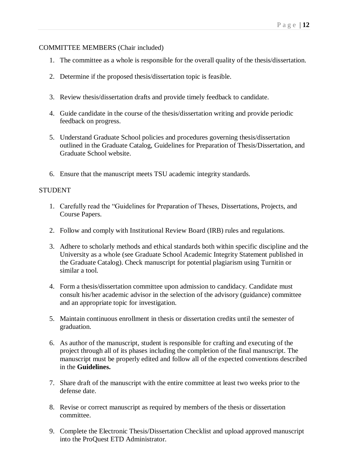# COMMITTEE MEMBERS (Chair included)

- 1. The committee as a whole is responsible for the overall quality of the thesis/dissertation.
- 2. Determine if the proposed thesis/dissertation topic is feasible.
- 3. Review thesis/dissertation drafts and provide timely feedback to candidate.
- 4. Guide candidate in the course of the thesis/dissertation writing and provide periodic feedback on progress.
- 5. Understand Graduate School policies and procedures governing thesis/dissertation outlined in the Graduate Catalog, Guidelines for Preparation of Thesis/Dissertation, and Graduate School website.
- 6. Ensure that the manuscript meets TSU academic integrity standards.

# **STUDENT**

- 1. Carefully read the "Guidelines for Preparation of Theses, Dissertations, Projects, and Course Papers.
- 2. Follow and comply with Institutional Review Board (IRB) rules and regulations.
- 3. Adhere to scholarly methods and ethical standards both within specific discipline and the University as a whole (see Graduate School Academic Integrity Statement published in the Graduate Catalog). Check manuscript for potential plagiarism using Turnitin or similar a tool.
- 4. Form a thesis/dissertation committee upon admission to candidacy. Candidate must consult his/her academic advisor in the selection of the advisory (guidance) committee and an appropriate topic for investigation.
- 5. Maintain continuous enrollment in thesis or dissertation credits until the semester of graduation.
- 6. As author of the manuscript, student is responsible for crafting and executing of the project through all of its phases including the completion of the final manuscript. The manuscript must be properly edited and follow all of the expected conventions described in the **Guidelines.**
- 7. Share draft of the manuscript with the entire committee at least two weeks prior to the defense date.
- 8. Revise or correct manuscript as required by members of the thesis or dissertation committee.
- 9. Complete the Electronic Thesis/Dissertation Checklist and upload approved manuscript into the ProQuest ETD Administrator.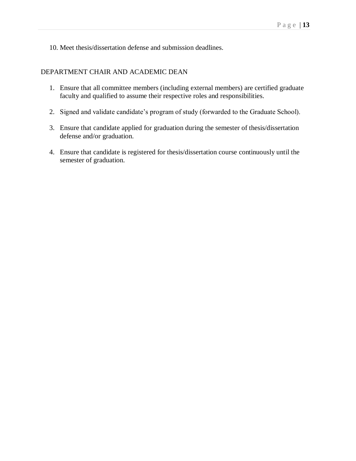10. Meet thesis/dissertation defense and submission deadlines.

## DEPARTMENT CHAIR AND ACADEMIC DEAN

- 1. Ensure that all committee members (including external members) are certified graduate faculty and qualified to assume their respective roles and responsibilities.
- 2. Signed and validate candidate's program of study (forwarded to the Graduate School).
- 3. Ensure that candidate applied for graduation during the semester of thesis/dissertation defense and/or graduation.
- 4. Ensure that candidate is registered for thesis/dissertation course continuously until the semester of graduation.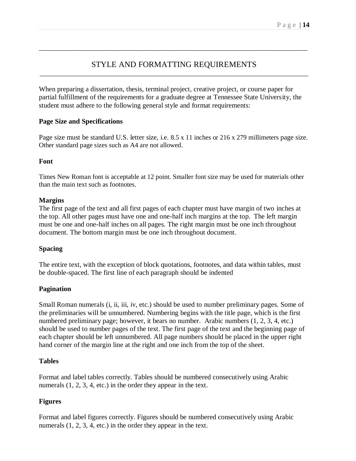# STYLE AND FORMATTING REQUIREMENTS \_\_\_\_\_\_\_\_\_\_\_\_\_\_\_\_\_\_\_\_\_\_\_\_\_\_\_\_\_\_\_\_\_\_\_\_\_\_\_\_\_\_\_\_\_\_\_\_\_\_\_\_\_\_\_\_\_\_\_\_\_\_\_\_\_\_\_\_\_\_\_\_\_\_\_\_\_

\_\_\_\_\_\_\_\_\_\_\_\_\_\_\_\_\_\_\_\_\_\_\_\_\_\_\_\_\_\_\_\_\_\_\_\_\_\_\_\_\_\_\_\_\_\_\_\_\_\_\_\_\_\_\_\_\_\_\_\_\_\_\_\_\_\_\_\_\_\_\_\_\_\_\_\_\_

When preparing a dissertation, thesis, terminal project, creative project, or course paper for partial fulfillment of the requirements for a graduate degree at Tennessee State University, the student must adhere to the following general style and format requirements:

# **Page Size and Specifications**

Page size must be standard U.S. letter size, i.e. 8.5 x 11 inches or 216 x 279 millimeters page size. Other standard page sizes such as A4 are not allowed.

# **Font**

Times New Roman font is acceptable at 12 point. Smaller font size may be used for materials other than the main text such as footnotes.

# **Margins**

The first page of the text and all first pages of each chapter must have margin of two inches at the top. All other pages must have one and one-half inch margins at the top. The left margin must be one and one-half inches on all pages. The right margin must be one inch throughout document. The bottom margin must be one inch throughout document.

# **Spacing**

The entire text, with the exception of block quotations, footnotes, and data within tables, must be double-spaced. The first line of each paragraph should be indented

# **Pagination**

Small Roman numerals (i, ii, iii, iv, etc.) should be used to number preliminary pages. Some of the preliminaries will be unnumbered. Numbering begins with the title page, which is the first numbered preliminary page; however, it bears no number. Arabic numbers (1, 2, 3, 4, etc.) should be used to number pages of the text. The first page of the text and the beginning page of each chapter should be left unnumbered. All page numbers should be placed in the upper right hand corner of the margin line at the right and one inch from the top of the sheet.

# **Tables**

Format and label tables correctly. Tables should be numbered consecutively using Arabic numerals  $(1, 2, 3, 4, etc.)$  in the order they appear in the text.

# **Figures**

Format and label figures correctly. Figures should be numbered consecutively using Arabic numerals  $(1, 2, 3, 4, etc.)$  in the order they appear in the text.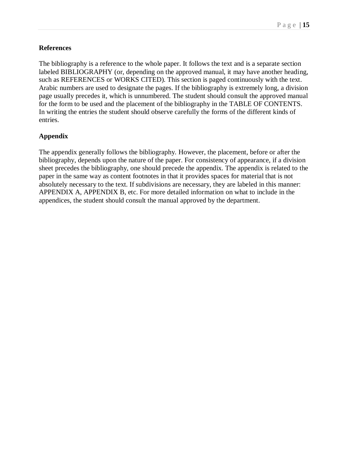# **References**

The bibliography is a reference to the whole paper. It follows the text and is a separate section labeled BIBLIOGRAPHY (or, depending on the approved manual, it may have another heading, such as REFERENCES or WORKS CITED). This section is paged continuously with the text. Arabic numbers are used to designate the pages. If the bibliography is extremely long, a division page usually precedes it, which is unnumbered. The student should consult the approved manual for the form to be used and the placement of the bibliography in the TABLE OF CONTENTS. In writing the entries the student should observe carefully the forms of the different kinds of entries.

# **Appendix**

The appendix generally follows the bibliography. However, the placement, before or after the bibliography, depends upon the nature of the paper. For consistency of appearance, if a division sheet precedes the bibliography, one should precede the appendix. The appendix is related to the paper in the same way as content footnotes in that it provides spaces for material that is not absolutely necessary to the text. If subdivisions are necessary, they are labeled in this manner: APPENDIX A, APPENDIX B, etc. For more detailed information on what to include in the appendices, the student should consult the manual approved by the department.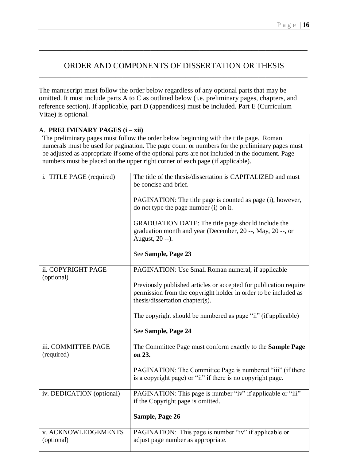# ORDER AND COMPONENTS OF DISSERTATION OR THESIS \_\_\_\_\_\_\_\_\_\_\_\_\_\_\_\_\_\_\_\_\_\_\_\_\_\_\_\_\_\_\_\_\_\_\_\_\_\_\_\_\_\_\_\_\_\_\_\_\_\_\_\_\_\_\_\_\_\_\_\_\_\_\_\_\_\_\_\_\_\_\_\_\_\_\_\_\_

\_\_\_\_\_\_\_\_\_\_\_\_\_\_\_\_\_\_\_\_\_\_\_\_\_\_\_\_\_\_\_\_\_\_\_\_\_\_\_\_\_\_\_\_\_\_\_\_\_\_\_\_\_\_\_\_\_\_\_\_\_\_\_\_\_\_\_\_\_\_\_\_\_\_\_\_\_

The manuscript must follow the order below regardless of any optional parts that may be omitted. It must include parts A to C as outlined below (i.e. preliminary pages, chapters, and reference section). If applicable, part D (appendices) must be included. Part E (Curriculum Vitae) is optional.

# A. **PRELIMINARY PAGES (i – xii)** The preliminary pages must follow the order below beginning with the title page. Roman numerals must be used for pagination. The page count or numbers for the preliminary pages must be adjusted as appropriate if some of the optional parts are not included in the document. Page numbers must be placed on the upper right corner of each page (if applicable). i. TITLE PAGE (required) The title of the thesis/dissertation is CAPITALIZED and must be concise and brief. PAGINATION: The title page is counted as page (i), however, do not type the page number (i) on it. GRADUATION DATE: The title page should include the graduation month and year (December, 20 --, May, 20 --, or August, 20 --). See **Sample, Page 23** ii. COPYRIGHT PAGE (optional) PAGINATION: Use Small Roman numeral, if applicable Previously published articles or accepted for publication require permission from the copyright holder in order to be included as thesis/dissertation chapter(s). The copyright should be numbered as page "ii" (if applicable) See **Sample, Page 24** iii. COMMITTEE PAGE (required) The Committee Page must conform exactly to the **Sample Page on 23.** PAGINATION: The Committee Page is numbered "iii" (if there is a copyright page) or "ii" if there is no copyright page. iv. DEDICATION (optional) | PAGINATION: This page is number "iv" if applicable or "iii" if the Copyright page is omitted. **Sample, Page 26** v. ACKNOWLEDGEMENTS (optional) PAGINATION: This page is number "iv" if applicable or adjust page number as appropriate.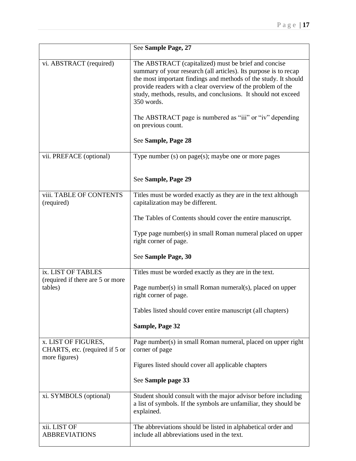|                                                                        | See Sample Page, 27                                                                                                                                                                                                                                                                                                                        |
|------------------------------------------------------------------------|--------------------------------------------------------------------------------------------------------------------------------------------------------------------------------------------------------------------------------------------------------------------------------------------------------------------------------------------|
| vi. ABSTRACT (required)                                                | The ABSTRACT (capitalized) must be brief and concise<br>summary of your research (all articles). Its purpose is to recap<br>the most important findings and methods of the study. It should<br>provide readers with a clear overview of the problem of the<br>study, methods, results, and conclusions. It should not exceed<br>350 words. |
|                                                                        | The ABSTRACT page is numbered as "iii" or "iv" depending<br>on previous count.                                                                                                                                                                                                                                                             |
|                                                                        | See Sample, Page 28                                                                                                                                                                                                                                                                                                                        |
| vii. PREFACE (optional)                                                | Type number $(s)$ on page $(s)$ ; maybe one or more pages                                                                                                                                                                                                                                                                                  |
|                                                                        | See Sample, Page 29                                                                                                                                                                                                                                                                                                                        |
| viii. TABLE OF CONTENTS<br>(required)                                  | Titles must be worded exactly as they are in the text although<br>capitalization may be different.                                                                                                                                                                                                                                         |
|                                                                        | The Tables of Contents should cover the entire manuscript.                                                                                                                                                                                                                                                                                 |
|                                                                        | Type page number(s) in small Roman numeral placed on upper<br>right corner of page.                                                                                                                                                                                                                                                        |
|                                                                        | See Sample Page, 30                                                                                                                                                                                                                                                                                                                        |
| ix. LIST OF TABLES<br>(required if there are 5 or more<br>tables)      | Titles must be worded exactly as they are in the text.<br>Page number(s) in small Roman numeral(s), placed on upper<br>right corner of page.                                                                                                                                                                                               |
|                                                                        | Tables listed should cover entire manuscript (all chapters)                                                                                                                                                                                                                                                                                |
|                                                                        | Sample, Page 32                                                                                                                                                                                                                                                                                                                            |
| x. LIST OF FIGURES,<br>CHARTS, etc. (required if 5 or<br>more figures) | Page number(s) in small Roman numeral, placed on upper right<br>corner of page<br>Figures listed should cover all applicable chapters                                                                                                                                                                                                      |
|                                                                        | See Sample page 33                                                                                                                                                                                                                                                                                                                         |
| xi. SYMBOLS (optional)                                                 | Student should consult with the major advisor before including<br>a list of symbols. If the symbols are unfamiliar, they should be<br>explained.                                                                                                                                                                                           |
| xii. LIST OF<br><b>ABBREVIATIONS</b>                                   | The abbreviations should be listed in alphabetical order and<br>include all abbreviations used in the text.                                                                                                                                                                                                                                |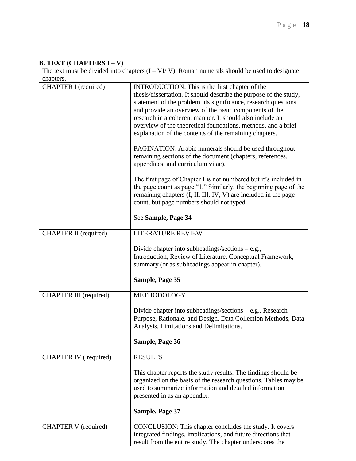# **B. TEXT (CHAPTERS I – V)**

| The text must be divided into chapters $(I - VI/V)$ . Roman numerals should be used to designate<br>chapters. |                                                                                                                                                                                                                                                                                                                                                                                                                                                                                                                                                                                                                                                                                                                                                                                                                                                                                           |  |
|---------------------------------------------------------------------------------------------------------------|-------------------------------------------------------------------------------------------------------------------------------------------------------------------------------------------------------------------------------------------------------------------------------------------------------------------------------------------------------------------------------------------------------------------------------------------------------------------------------------------------------------------------------------------------------------------------------------------------------------------------------------------------------------------------------------------------------------------------------------------------------------------------------------------------------------------------------------------------------------------------------------------|--|
| CHAPTER I (required)                                                                                          | INTRODUCTION: This is the first chapter of the<br>thesis/dissertation. It should describe the purpose of the study,<br>statement of the problem, its significance, research questions,<br>and provide an overview of the basic components of the<br>research in a coherent manner. It should also include an<br>overview of the theoretical foundations, methods, and a brief<br>explanation of the contents of the remaining chapters.<br><b>PAGINATION:</b> Arabic numerals should be used throughout<br>remaining sections of the document (chapters, references,<br>appendices, and curriculum vitae).<br>The first page of Chapter I is not numbered but it's included in<br>the page count as page "1." Similarly, the beginning page of the<br>remaining chapters (I, II, III, IV, V) are included in the page<br>count, but page numbers should not typed.<br>See Sample, Page 34 |  |
| <b>CHAPTER II</b> (required)                                                                                  | <b>LITERATURE REVIEW</b>                                                                                                                                                                                                                                                                                                                                                                                                                                                                                                                                                                                                                                                                                                                                                                                                                                                                  |  |
|                                                                                                               | Divide chapter into subheadings/sections $-$ e.g.,<br>Introduction, Review of Literature, Conceptual Framework,<br>summary (or as subheadings appear in chapter).<br>Sample, Page 35                                                                                                                                                                                                                                                                                                                                                                                                                                                                                                                                                                                                                                                                                                      |  |
| <b>CHAPTER III</b> (required)                                                                                 | METHODOLOGY                                                                                                                                                                                                                                                                                                                                                                                                                                                                                                                                                                                                                                                                                                                                                                                                                                                                               |  |
|                                                                                                               | Divide chapter into subheadings/sections $-$ e.g., Research<br>Purpose, Rationale, and Design, Data Collection Methods, Data<br>Analysis, Limitations and Delimitations.<br>Sample, Page 36                                                                                                                                                                                                                                                                                                                                                                                                                                                                                                                                                                                                                                                                                               |  |
| CHAPTER IV (required)                                                                                         | <b>RESULTS</b>                                                                                                                                                                                                                                                                                                                                                                                                                                                                                                                                                                                                                                                                                                                                                                                                                                                                            |  |
|                                                                                                               | This chapter reports the study results. The findings should be<br>organized on the basis of the research questions. Tables may be<br>used to summarize information and detailed information<br>presented in as an appendix.<br>Sample, Page 37                                                                                                                                                                                                                                                                                                                                                                                                                                                                                                                                                                                                                                            |  |
| <b>CHAPTER V</b> (required)                                                                                   | CONCLUSION: This chapter concludes the study. It covers<br>integrated findings, implications, and future directions that<br>result from the entire study. The chapter underscores the                                                                                                                                                                                                                                                                                                                                                                                                                                                                                                                                                                                                                                                                                                     |  |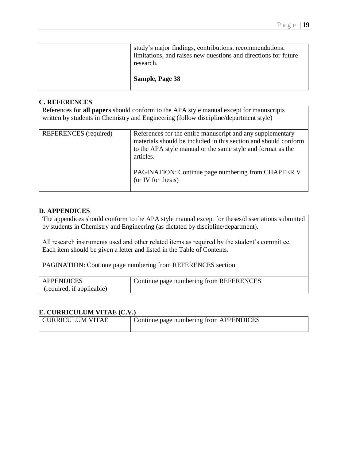| research.<br>Sample, Page 38                                                                                               |
|----------------------------------------------------------------------------------------------------------------------------|
| study's major findings, contributions, recommendations,<br>limitations, and raises new questions and directions for future |

#### **C. REFERENCES**

| References for all papers should conform to the APA style manual except for manuscripts<br>written by students in Chemistry and Engineering (follow discipline/department style) |                                                                                                                                                                                                                                                                                       |  |
|----------------------------------------------------------------------------------------------------------------------------------------------------------------------------------|---------------------------------------------------------------------------------------------------------------------------------------------------------------------------------------------------------------------------------------------------------------------------------------|--|
| <b>REFERENCES</b> (required)                                                                                                                                                     | References for the entire manuscript and any supplementary<br>materials should be included in this section and should conform<br>to the APA style manual or the same style and format as the<br>articles.<br>PAGINATION: Continue page numbering from CHAPTER V<br>(or IV for thesis) |  |

#### **D. APPENDICES**

The appendices should conform to the APA style manual except for theses/dissertations submitted by students in Chemistry and Engineering (as dictated by discipline/department).

All research instruments used and other related items as required by the student's committee. Each item should be given a letter and listed in the Table of Contents.

PAGINATION: Continue page numbering from REFERENCES section

| <b>APPENDICES</b>         | Continue page numbering from REFERENCES |
|---------------------------|-----------------------------------------|
| (required, if applicable) |                                         |

#### **E. CURRICULUM VITAE (C.V.)**

| CURRICULUM VITAE | Continue page numbering from APPENDICES |
|------------------|-----------------------------------------|
|                  |                                         |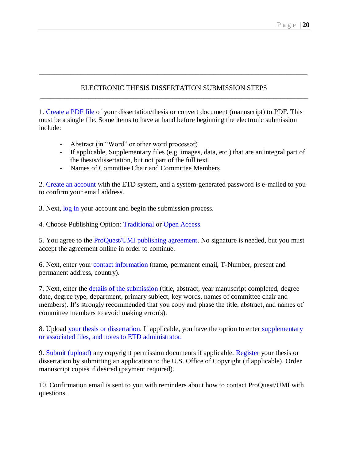# ELECTRONIC THESIS DISSERTATION SUBMISSION STEPS **\_\_\_\_\_\_\_\_\_\_\_\_\_\_\_\_\_\_\_\_\_\_\_\_\_\_\_\_\_\_\_\_\_\_\_\_\_\_\_\_\_\_\_\_\_\_\_\_\_\_\_\_\_\_\_\_\_\_\_\_\_\_\_\_\_\_\_\_\_\_\_\_\_\_\_\_\_**

**\_\_\_\_\_\_\_\_\_\_\_\_\_\_\_\_\_\_\_\_\_\_\_\_\_\_\_\_\_\_\_\_\_\_\_\_\_\_\_\_\_\_\_\_\_\_\_\_\_\_\_\_\_\_\_\_\_\_\_\_\_\_\_\_\_\_\_\_\_\_\_\_\_\_\_\_\_**

1. Create a PDF file of your dissertation/thesis or convert document (manuscript) to PDF. This must be a single file. Some items to have at hand before beginning the electronic submission include:

- Abstract (in "Word" or other word processor)
- If applicable, Supplementary files (e.g. images, data, etc.) that are an integral part of the thesis/dissertation, but not part of the full text
- Names of Committee Chair and Committee Members

2. Create an account with the ETD system, and a system-generated password is e-mailed to you to confirm your email address.

3. Next, log in your account and begin the submission process.

4. Choose Publishing Option: Traditional or Open Access.

5. You agree to the ProQuest/UMI publishing agreement. No signature is needed, but you must accept the agreement online in order to continue.

6. Next, enter your contact information (name, permanent email, T-Number, present and permanent address, country).

7. Next, enter the details of the submission (title, abstract, year manuscript completed, degree date, degree type, department, primary subject, key words, names of committee chair and members). It's strongly recommended that you copy and phase the title, abstract, and names of committee members to avoid making error(s).

8. Upload your thesis or dissertation. If applicable, you have the option to enter supplementary or associated files, and notes to ETD administrator.

9. Submit (upload) any copyright permission documents if applicable. Register your thesis or dissertation by submitting an application to the U.S. Office of Copyright (if applicable). Order manuscript copies if desired (payment required).

10. Confirmation email is sent to you with reminders about how to contact ProQuest/UMI with questions.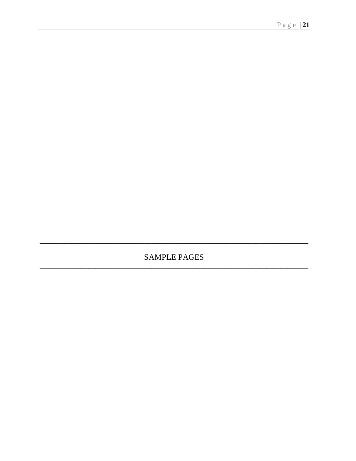**SAMPLE PAGES**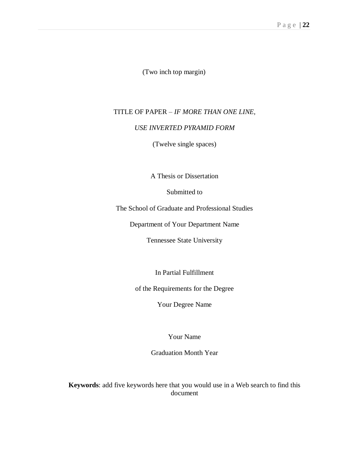(Two inch top margin)

# TITLE OF PAPER – *IF MORE THAN ONE LINE,*

#### *USE INVERTED PYRAMID FORM*

(Twelve single spaces)

A Thesis or Dissertation

Submitted to

The School of Graduate and Professional Studies

Department of Your Department Name

Tennessee State University

In Partial Fulfillment

of the Requirements for the Degree

Your Degree Name

Your Name

Graduation Month Year

**Keywords**: add five keywords here that you would use in a Web search to find this document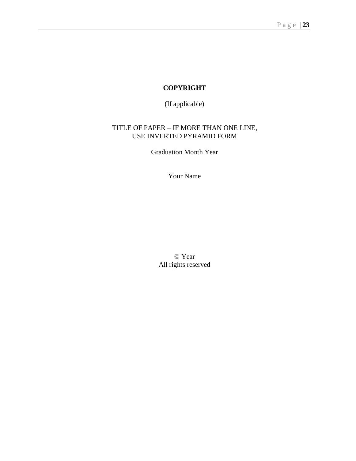# **COPYRIGHT**

(If applicable)

# TITLE OF PAPER – IF MORE THAN ONE LINE, USE INVERTED PYRAMID FORM

Graduation Month Year

Your Name

© Year All rights reserved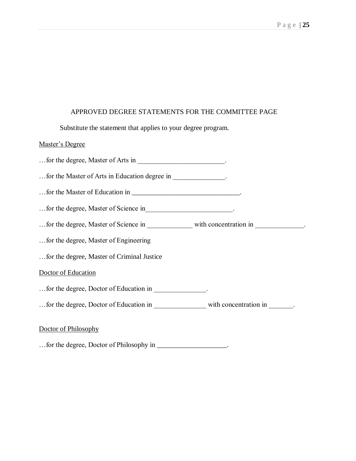#### APPROVED DEGREE STATEMENTS FOR THE COMMITTEE PAGE

Substitute the statement that applies to your degree program.

#### Master's Degree

…for the degree, Master of Arts in \_\_\_\_\_\_\_\_\_\_\_\_\_\_\_\_\_\_\_\_\_\_\_\_\_.

…for the Master of Arts in Education degree in \_\_\_\_\_\_\_\_\_\_\_\_\_\_\_.

…for the Master of Education in \_\_\_\_\_\_\_\_\_\_\_\_\_\_\_\_\_\_\_\_\_\_\_\_\_\_\_\_\_\_\_.

…for the degree, Master of Science in\_\_\_\_\_\_\_\_\_\_\_\_\_\_\_\_\_\_\_\_\_\_\_\_\_.

…for the degree, Master of Science in \_\_\_\_\_\_\_\_\_\_\_\_\_ with concentration in \_\_\_\_\_\_\_\_\_\_\_\_\_\_.

…for the degree, Master of Engineering

…for the degree, Master of Criminal Justice

### Doctor of Education

- …for the degree, Doctor of Education in \_\_\_\_\_\_\_\_\_\_\_\_\_\_\_.
- …for the degree, Doctor of Education in \_\_\_\_\_\_\_\_\_\_\_\_\_\_\_ with concentration in \_\_\_\_\_\_\_.

#### Doctor of Philosophy

…for the degree, Doctor of Philosophy in \_\_\_\_\_\_\_\_\_\_\_\_\_\_\_\_\_\_\_\_.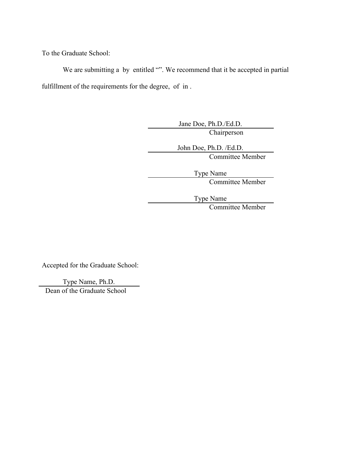To the Graduate School:

We are submitting a by entitled "". We recommend that it be accepted in partial fulfillment of the requirements for the degree, of in.

> Jane Doe, Ph.D./Ed.D. **Chairperson**

John Doe, Ph.D. /Ed.D. Committee Member

Type Name

Committee Member

Type Name

Committee Member

Accepted for the Graduate School:

Type Name, Ph.D.

Dean of the Graduate School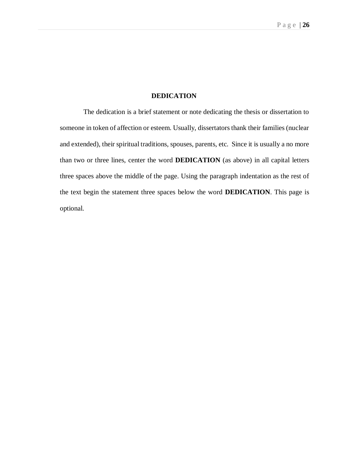#### **DEDICATION**

The dedication is a brief statement or note dedicating the thesis or dissertation to someone in token of affection or esteem. Usually, dissertators thank their families (nuclear and extended), their spiritual traditions, spouses, parents, etc. Since it is usually a no more than two or three lines, center the word **DEDICATION** (as above) in all capital letters three spaces above the middle of the page. Using the paragraph indentation as the rest of the text begin the statement three spaces below the word **DEDICATION**. This page is optional.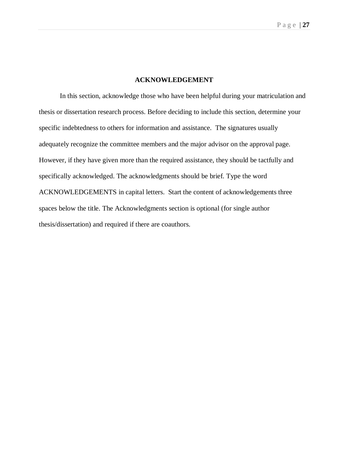#### **ACKNOWLEDGEMENT**

In this section, acknowledge those who have been helpful during your matriculation and thesis or dissertation research process. Before deciding to include this section, determine your specific indebtedness to others for information and assistance. The signatures usually adequately recognize the committee members and the major advisor on the approval page. However, if they have given more than the required assistance, they should be tactfully and specifically acknowledged. The acknowledgments should be brief. Type the word ACKNOWLEDGEMENTS in capital letters. Start the content of acknowledgements three spaces below the title. The Acknowledgments section is optional (for single author thesis/dissertation) and required if there are coauthors.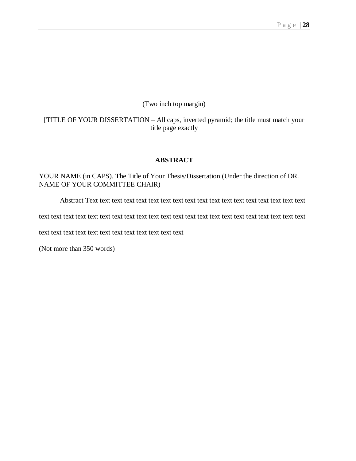# (Two inch top margin)

# [TITLE OF YOUR DISSERTATION – All caps, inverted pyramid; the title must match your title page exactly

#### **ABSTRACT**

YOUR NAME (in CAPS). The Title of Your Thesis/Dissertation (Under the direction of DR. NAME OF YOUR COMMITTEE CHAIR)

Abstract Text text text text text text text text text text text text text text text text text text

text text text text text text text text text text text text text text text text text text text text text text

text text text text text text text text text text text text

(Not more than 350 words)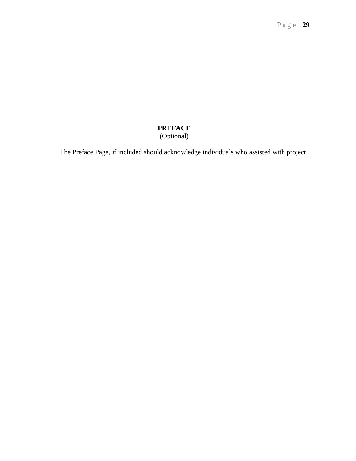# **PREFACE** (Optional)

The Preface Page, if included should acknowledge individuals who assisted with project.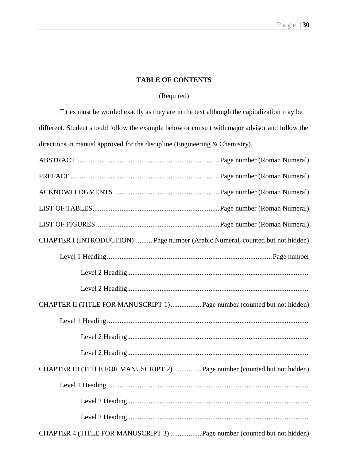# **TABLE OF CONTENTS**

# (Required)

Titles must be worded exactly as they are in the text although the capitalization may be different. Student should follow the example below or consult with major advisor and follow the directions in manual approved for the discipline (Engineering & Chemistry).

| CHAPTER I (INTRODUCTION) Page number (Arabic Numeral, counted but not hidden) |
|-------------------------------------------------------------------------------|
|                                                                               |
|                                                                               |
|                                                                               |
| CHAPTER II (TITLE FOR MANUSCRIPT 1) Page number (counted but not hidden)      |
|                                                                               |
|                                                                               |
|                                                                               |
| CHAPTER III (TITLE FOR MANUSCRIPT 2)  Page number (counted but not hidden)    |
|                                                                               |
|                                                                               |
|                                                                               |
| CHAPTER 4 (TITLE FOR MANUSCRIPT 3)  Page number (counted but not hidden)      |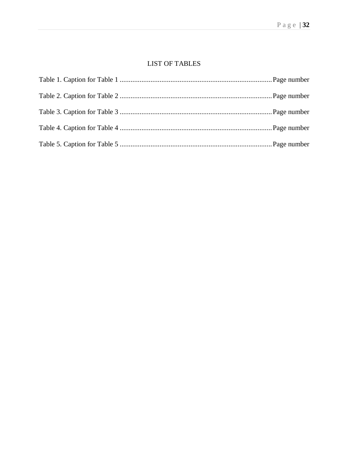# **LIST OF TABLES**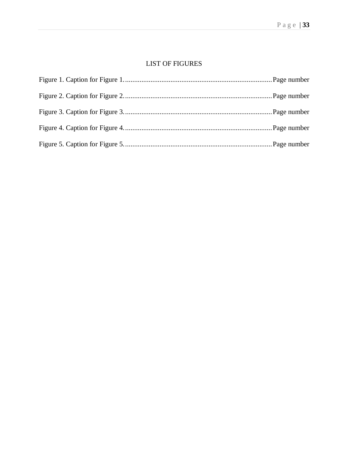# LIST OF FIGURES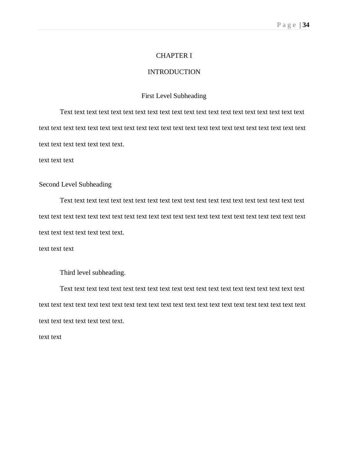#### CHAPTER I

#### INTRODUCTION

#### First Level Subheading

Text text text text text text text text text text text text text text text text text text text text text text text text text text text text text text text text text text text text text text text text text text text text text text text text text.

text text text

# Second Level Subheading

Text text text text text text text text text text text text text text text text text text text text text text text text text text text text text text text text text text text text text text text text text text text text text text text text text.

text text text

Third level subheading.

Text text text text text text text text text text text text text text text text text text text text text text text text text text text text text text text text text text text text text text text text text text text text text text text text text.

text text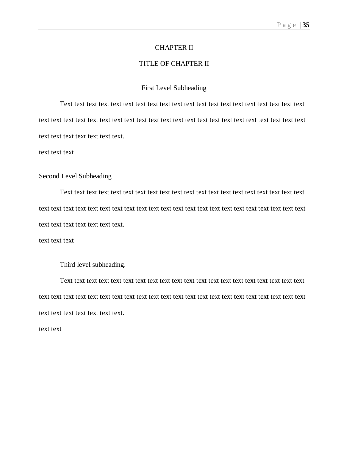#### CHAPTER II

#### TITLE OF CHAPTER II

#### First Level Subheading

Text text text text text text text text text text text text text text text text text text text text text text text text text text text text text text text text text text text text text text text text text text text text text text text text text.

text text text

#### Second Level Subheading

Text text text text text text text text text text text text text text text text text text text text text text text text text text text text text text text text text text text text text text text text text text text text text text text text text.

text text text

Third level subheading.

Text text text text text text text text text text text text text text text text text text text text text text text text text text text text text text text text text text text text text text text text text text text text text text text text text.

text text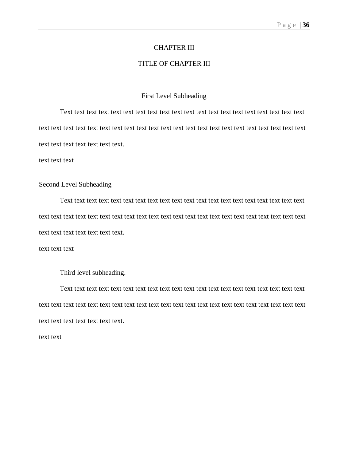#### CHAPTER III

#### TITLE OF CHAPTER III

#### First Level Subheading

Text text text text text text text text text text text text text text text text text text text text text text text text text text text text text text text text text text text text text text text text text text text text text text text text text.

text text text

# Second Level Subheading

Text text text text text text text text text text text text text text text text text text text text text text text text text text text text text text text text text text text text text text text text text text text text text text text text text.

text text text

Third level subheading.

Text text text text text text text text text text text text text text text text text text text text text text text text text text text text text text text text text text text text text text text text text text text text text text text text text.

text text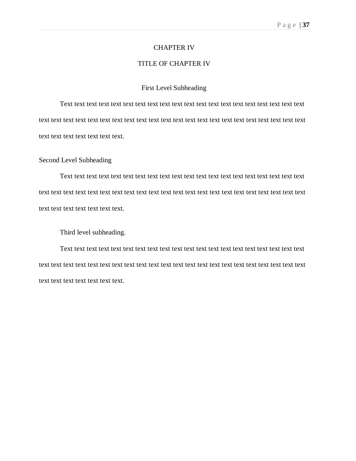#### CHAPTER IV

#### TITLE OF CHAPTER IV

#### First Level Subheading

Text text text text text text text text text text text text text text text text text text text text text text text text text text text text text text text text text text text text text text text text text text text text text text text text text.

#### Second Level Subheading

Text text text text text text text text text text text text text text text text text text text text text text text text text text text text text text text text text text text text text text text text text text text text text text text text text.

Third level subheading.

Text text text text text text text text text text text text text text text text text text text text text text text text text text text text text text text text text text text text text text text text text text text text text text text text text.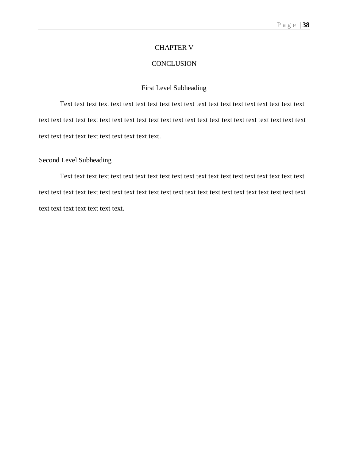#### CHAPTER V

#### **CONCLUSION**

# First Level Subheading

Text text text text text text text text text text text text text text text text text text text text text text text text text text text text text text text text text text text text text text text text text text text text text text text text text text text text.

#### Second Level Subheading

Text text text text text text text text text text text text text text text text text text text text text text text text text text text text text text text text text text text text text text text text text text text text text text text text text.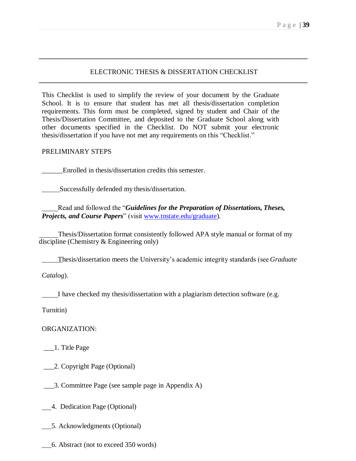## ELECTRONIC THESIS & DISSERTATION CHECKLIST **\_\_\_\_\_\_\_\_\_\_\_\_\_\_\_\_\_\_\_\_\_\_\_\_\_\_\_\_\_\_\_\_\_\_\_\_\_\_\_\_\_\_\_\_\_\_\_\_\_\_\_\_\_\_\_\_\_\_\_\_\_\_\_\_\_\_\_\_\_\_\_\_\_\_\_\_\_**

**\_\_\_\_\_\_\_\_\_\_\_\_\_\_\_\_\_\_\_\_\_\_\_\_\_\_\_\_\_\_\_\_\_\_\_\_\_\_\_\_\_\_\_\_\_\_\_\_\_\_\_\_\_\_\_\_\_\_\_\_\_\_\_\_\_\_\_\_\_\_\_\_\_\_\_\_\_**

This Checklist is used to simplify the review of your document by the Graduate School. It is to ensure that student has met all thesis/dissertation completion requirements. This form must be completed, signed by student and Chair of the Thesis/Dissertation Committee, and deposited to the Graduate School along with other documents specified in the Checklist. Do NOT submit your electronic thesis/dissertation if you have not met any requirements on this "Checklist."

#### PRELIMINARY STEPS

Enrolled in thesis/dissertation credits this semester.

Successfully defended my thesis/dissertation.

Read and followed the "*Guidelines for the Preparation of Dissertations, Theses, Projects, and Course Papers*" (visit [www.tnstate.edu/graduate\)](https://www.tnstate.edu/graduate).

Thesis/Dissertation format consistently followed APA style manual or format of my discipline (Chemistry & Engineering only)

Thesis/dissertation meets the University's academic integrity standards (see *Graduate*

*Catalog*).

I have checked my thesis/dissertation with a plagiarism detection software (e.g.

Turnitin)

ORGANIZATION:

\_\_\_1. Title Page

\_\_\_2. Copyright Page (Optional)

\_\_\_3. Committee Page (see sample page in Appendix A)

4. Dedication Page (Optional)

5. Acknowledgments (Optional)

6. Abstract (not to exceed 350 words)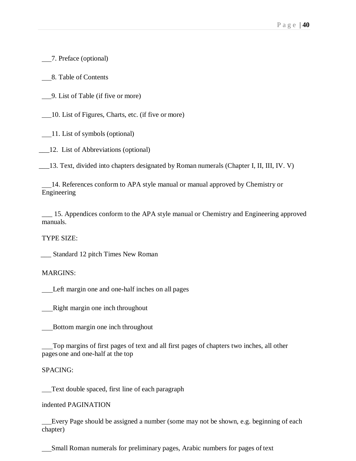7. Preface (optional)

8. Table of Contents

9. List of Table (if five or more)

10. List of Figures, Charts, etc. (if five or more)

11. List of symbols (optional)

\_\_\_12. List of Abbreviations (optional)

\_\_\_13. Text, divided into chapters designated by Roman numerals (Chapter I, II, III, IV. V)

14. References conform to APA style manual or manual approved by Chemistry or Engineering

\_\_\_ 15. Appendices conform to the APA style manual or Chemistry and Engineering approved manuals.

TYPE SIZE:

\_\_\_ Standard 12 pitch Times New Roman

MARGINS:

Left margin one and one-half inches on all pages

Right margin one inch throughout

Bottom margin one inch throughout

Top margins of first pages of text and all first pages of chapters two inches, all other pages one and one-half at the top

SPACING:

Text double spaced, first line of each paragraph

indented PAGINATION

Every Page should be assigned a number (some may not be shown, e.g. beginning of each chapter)

Small Roman numerals for preliminary pages, Arabic numbers for pages of text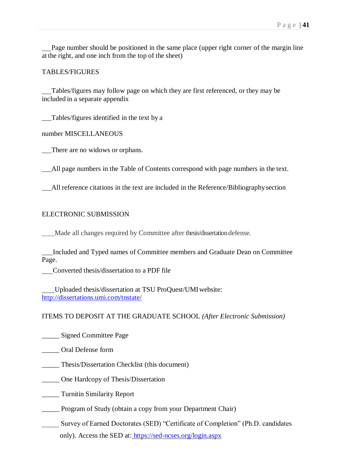Page number should be positioned in the same place (upper right corner of the margin line at the right, and one inch from the top of the sheet)

#### TABLES/FIGURES

Tables/figures may follow page on which they are first referenced, or they may be included in a separate appendix

Tables/figures identified in the text by a

number MISCELLANEOUS

There are no widows or orphans.

All page numbers in the Table of Contents correspond with page numbers in the text.

All reference citations in the text are included in the Reference/Bibliography section

#### ELECTRONIC SUBMISSION

Made all changes required by Committee after thesis/dissertation defense.

Included and Typed names of Committee members and Graduate Dean on Committee Page.

Converted thesis/dissertation to a PDF file

Uploaded thesis/dissertation at TSU ProQuest/UMIwebsite: <http://dissertations.umi.com/tnstate/>

#### ITEMS TO DEPOSIT AT THE GRADUATE SCHOOL *(After Electronic Submission)*

\_\_\_\_\_ Signed Committee Page

\_\_\_\_\_ Oral Defense form

\_\_\_\_\_ Thesis/Dissertation Checklist (this document)

\_\_\_\_\_ One Hardcopy of Thesis/Dissertation

\_\_\_\_\_ Turnitin Similarity Report

\_\_\_\_\_ Program of Study (obtain a copy from your Department Chair)

\_\_\_\_\_ Survey of Earned Doctorates (SED) "Certificate of Completion" (Ph.D. candidates only). Access the SED at: <https://sed-ncses.org/login.aspx>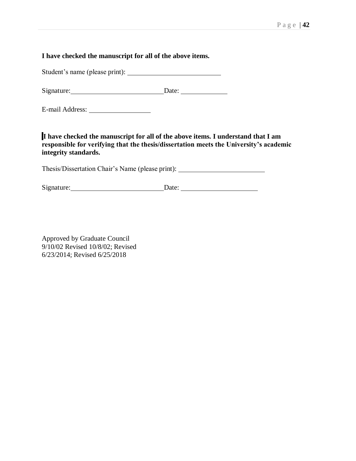# **I have checked the manuscript for all of the above items.**

Student's name (please print):

Signature: Date:

E-mail Address:

**I have checked the manuscript for all of the above items. I understand that I am responsible for verifying that the thesis/dissertation meets the University's academic integrity standards.**

Thesis/Dissertation Chair's Name (please print):

Signature: Date: Date:

Approved by Graduate Council 9/10/02 Revised 10/8/02; Revised 6/23/2014; Revised 6/25/2018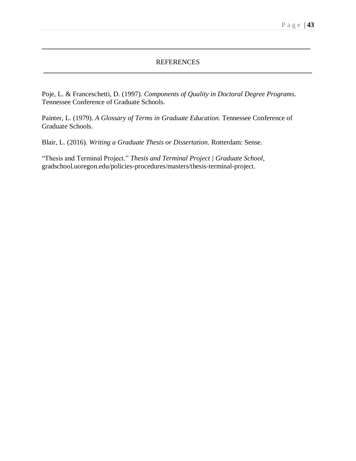## REFERENCES **\_\_\_\_\_\_\_\_\_\_\_\_\_\_\_\_\_\_\_\_\_\_\_\_\_\_\_\_\_\_\_\_\_\_\_\_\_\_\_\_\_\_\_\_\_\_\_\_\_\_\_\_\_\_\_\_\_\_\_\_\_\_\_\_\_\_\_\_\_\_\_\_\_\_\_\_\_**

**\_\_\_\_\_\_\_\_\_\_\_\_\_\_\_\_\_\_\_\_\_\_\_\_\_\_\_\_\_\_\_\_\_\_\_\_\_\_\_\_\_\_\_\_\_\_\_\_\_\_\_\_\_\_\_\_\_\_\_\_\_\_\_\_\_\_\_\_\_\_\_\_\_\_\_\_\_**

Poje, L. & Franceschetti, D. (1997). *Components of Quality in Doctoral Degree Programs.*  Tennessee Conference of Graduate Schools.

Painter, L. (1979). *A Glossary of Terms in Graduate Education.* Tennessee Conference of Graduate Schools.

Blair, L. (2016). *Writing a Graduate Thesis or Dissertation*. Rotterdam: Sense.

"Thesis and Terminal Project." *Thesis and Terminal Project | Graduate School*, gradschool.uoregon.edu/policies-procedures/masters/thesis-terminal-project.